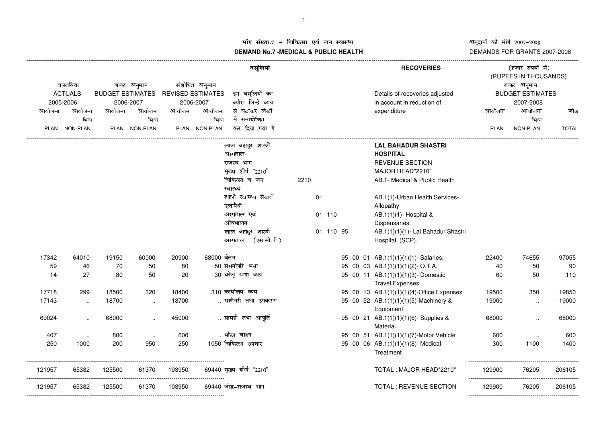## अनुदानों की माँगें 2007–2008<br>DEMANDS FOR GRANTS 2007-2008

---------------------------------------------------------

## ाँग संख्या.7 – चिकित्सा एवं जन स्वास्थ्य<br>IAND N- 7 MEDIOAL 8 DUDLIO-UEALTIL **DEMAND No.7 -MEDICAL & PUBLIC HEALTH**

|           | वास्तविक       |           | बजट अनुमान              |           | संशोधित अनुमान           | वसूलियॉ                  |      |           |  | <b>RECOVERIES</b>                                             |             | (हजार रुपयों में)<br>(RUPEES IN THOUSANDS)<br>बजट अनुमान |              |
|-----------|----------------|-----------|-------------------------|-----------|--------------------------|--------------------------|------|-----------|--|---------------------------------------------------------------|-------------|----------------------------------------------------------|--------------|
|           | <b>ACTUALS</b> |           | <b>BUDGET ESTIMATES</b> |           | <b>REVISED ESTIMATES</b> | इन वसूलियों का           |      |           |  | Details of recoveries adjusted                                |             | <b>BUDGET ESTIMATES</b>                                  |              |
| 2005-2006 |                | 2006-2007 |                         | 2006-2007 |                          | ब्यौरा जिन्हें व्यय      |      |           |  | in account in reduction of                                    |             | 2007-2008                                                |              |
| आयोजना    | आयोजना         | आयोजना    | आयोजना                  | आयोजना    | आयोजना                   | से घटाकर लेखों           |      |           |  | expenditure                                                   | आयोजना      | आयोजना                                                   | जोड          |
|           | भिन्न          |           | भिन्न                   |           | भिन्न                    | में समायोजित             |      |           |  |                                                               |             | भिन्न                                                    |              |
|           | PLAN NON-PLAN  |           | PLAN NON-PLAN           |           | PLAN NON-PLAN            | कर दिया गया है           |      |           |  |                                                               | <b>PLAN</b> | NON-PLAN                                                 | <b>TOTAL</b> |
|           |                |           |                         |           | लाल बहादुर शास्त्री      |                          |      |           |  | <b>LAL BAHADUR SHASTRI</b>                                    |             |                                                          |              |
|           |                |           |                         |           |                          | अस्पताल                  |      |           |  | <b>HOSPITAL</b>                                               |             |                                                          |              |
|           |                |           |                         |           |                          | राजस्व भाग               |      |           |  | <b>REVENUE SECTION</b>                                        |             |                                                          |              |
|           |                |           |                         |           |                          | मुख्य शीर्ष "2210"       |      |           |  | MAJOR HEAD"2210"                                              |             |                                                          |              |
|           |                |           |                         |           |                          | चिकित्सा व जन            | 2210 |           |  | AB.1- Medical & Public Health                                 |             |                                                          |              |
|           |                |           |                         |           |                          | स्वास्थ्य                |      |           |  |                                                               |             |                                                          |              |
|           |                |           |                         |           |                          | शहरी स्वास्थ्य सेवायें   |      | 01        |  | AB.1(1)-Urban Health Services-                                |             |                                                          |              |
|           |                |           |                         |           |                          | एलोपैथी                  |      |           |  | Allopathy                                                     |             |                                                          |              |
|           |                |           |                         |           |                          | अस्पताल एवं<br>औषधालय    |      | 01 110    |  | AB.1(1)(1)- Hospital &                                        |             |                                                          |              |
|           |                |           |                         |           |                          | लाल बहादुर शास्त्री      |      | 01 110 95 |  | Dispensaries.<br>AB.1(1)(1)(1)- Lal Bahadur Shastri           |             |                                                          |              |
|           |                |           |                         |           |                          | (एस.सी.पी.)<br>अस्पताल   |      |           |  | Hospital (SCP).                                               |             |                                                          |              |
| 17342     | 64010          | 19150     | 60000                   | 20900     | 68000 वेतन               |                          |      |           |  | 95 00 01 AB.1(1)(1)(1)(1)- Salaries.                          | 22400       | 74655                                                    | 97055        |
| 59        | 46             | 70        | 50                      | 80        |                          | 50 समयोपरि भत्ता         |      |           |  | 95 00 03 AB.1(1)(1)(1)(2)- O.T.A.                             | 40          | 50                                                       | 90           |
| 14        | 27             | 80        | 50                      | 20        |                          | 30 घरेलू यात्रा व्यय     |      |           |  | 95 00 11 AB.1(1)(1)(1)(3)- Domestic<br><b>Travel Expenses</b> | 60          | 50                                                       | 110          |
| 17718     | 299            | 18500     | 320                     | 18400     |                          | 310 कार्यालय व्यय        |      |           |  | 95 00 13 AB.1(1)(1)(1)(4)-Office Expenses                     | 19500       | 350                                                      | 19850        |
| 17143     | $\ddotsc$      | 18700     | $\ddotsc$               | 18700     |                          | मशीनरी तथा उपकरण         |      |           |  | 95 00 52 AB.1(1)(1)(1)(5)-Machinery &<br>Equipment            | 19000       | $\ddotsc$                                                | 19000        |
| 69024     | $\cdot$ .      | 68000     |                         | 45000     |                          | सामग्री तथा आपूर्ति      |      |           |  | 95 00 21 AB.1(1)(1)(1)(6)- Supplies &<br>Material.            | 68000       |                                                          | 68000        |
| 407       | $\ldots$       | 800       | $\ddotsc$               | 600       |                          | मोटर वाहन                |      |           |  | 95 00 51 AB.1(1)(1)(1)(7)-Motor Vehicle                       | 600         |                                                          | 600          |
| 250       | 1000           | 200       | 950                     | 250       |                          | 1050 चिकित्सा उपचार      |      |           |  | 95 00 06 AB.1(1)(1)(1)(8)- Medical<br>Treatment               | 300         | 1100                                                     | 1400         |
| 121957    | 65382          | 125500    | 61370                   | 103950    |                          | 69440 मुख्य शीर्ष "2210" |      |           |  | TOTAL: MAJOR HEAD"2210"                                       | 129900      | 76205                                                    | 206105       |
| 121957    | 65382          | 125500    | 61370                   | 103950    |                          | 69440 जोड़-राजस्व भाग    |      |           |  | <b>TOTAL: REVENUE SECTION</b>                                 | 129900      | 76205                                                    | 206105       |

------------------------------------------------------------------------------------------------------